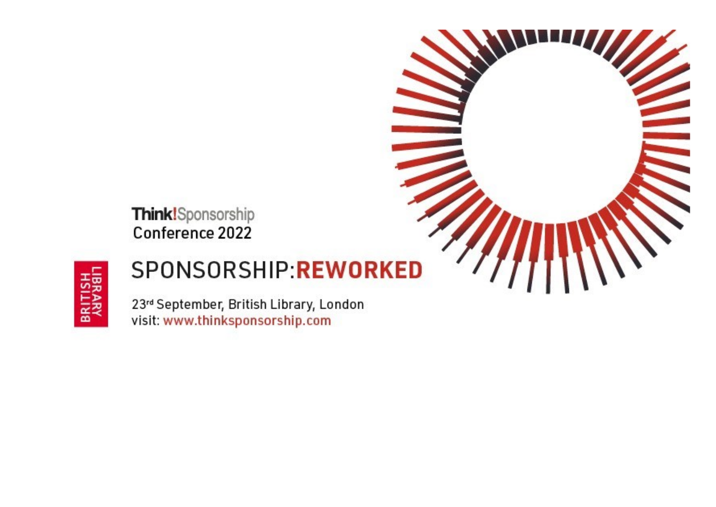



# SPONSORSHIP:REWORKED

23rd September, British Library, London visit: www.thinksponsorship.com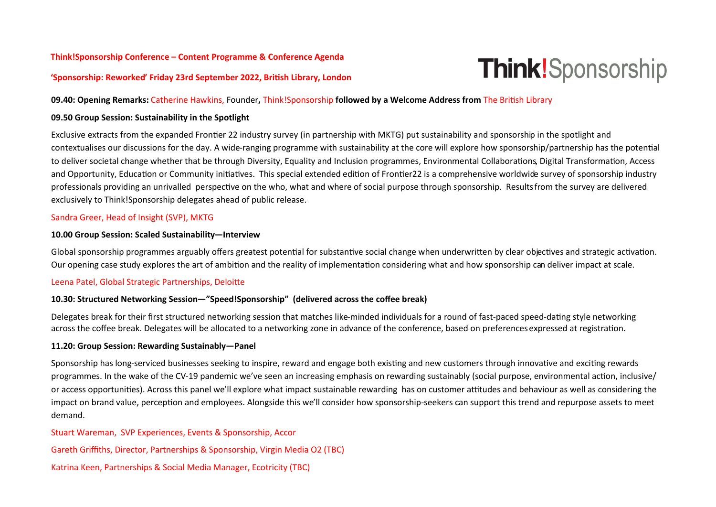# **Think!Sponsorship Conference – Content Programme & Conference Agenda**

# **Think!**Sponsorship

#### **'Sponsorship: Reworked' Friday 23rd September 2022, British Library, London**

#### **09.40: Opening Remarks:** Catherine Hawkins, Founder**,** Think!Sponsorship **followed by a Welcome Address from** The British Library

# **09.50 Group Session: Sustainability in the Spotlight**

Exclusive extracts from the expanded Frontier 22 industry survey (in partnership with MKTG) put sustainability and sponsorship in the spotlight and contextualises our discussions for the day. A wide-ranging programme with sustainability at the core will explore how sponsorship/partnership has the potential to deliver societal change whether that be through Diversity, Equality and Inclusion programmes, Environmental Collaborations, Digital Transformation, Access and Opportunity, Education or Community initiatives. This special extended edition of Frontier22 is a comprehensive worldwide survey of sponsorship industry professionals providing an unrivalled perspective on the who, what and where of social purpose through sponsorship. Resultsfrom the survey are delivered exclusively to Think!Sponsorship delegates ahead of public release.

### Sandra Greer, Head of Insight (SVP), MKTG

#### **10.00 Group Session: Scaled Sustainability—Interview**

Global sponsorship programmes arguably offers greatest potential for substantive social change when underwritten by clear objectives and strategic activation. Our opening case study explores the art of ambition and the reality of implementation considering what and how sponsorship can deliver impact at scale.

### Leena Patel, Global Strategic Partnerships, Deloitte

### **10.30: Structured Networking Session—"Speed!Sponsorship" (delivered across the coffee break)**

Delegates break for their first structured networking session that matches like-minded individuals for a round of fast-paced speed-dating style networking across the coffee break. Delegates will be allocated to a networking zone in advance of the conference, based on preferences expressed at registration.

### **11.20: Group Session: Rewarding Sustainably—Panel**

Sponsorship has long-serviced businesses seeking to inspire, reward and engage both existing and new customers through innovative and exciting rewards programmes. In the wake of the CV-19 pandemic we've seen an increasing emphasis on rewarding sustainably (social purpose, environmental action, inclusive/ or access opportunities). Across this panel we'll explore what impact sustainable rewarding has on customer attitudes and behaviour as well as considering the impact on brand value, perception and employees. Alongside this we'll consider how sponsorship-seekers can support this trend and repurpose assets to meet demand.

Stuart Wareman, SVP Experiences, Events & Sponsorship, Accor

Gareth Griffiths, Director, Partnerships & Sponsorship, Virgin Media O2 (TBC)

Katrina Keen, Partnerships & Social Media Manager, Ecotricity (TBC)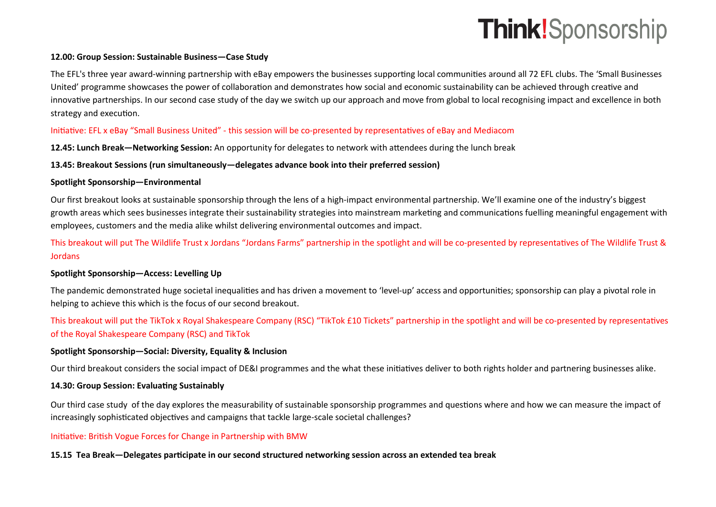# **Think!**Sponsorship

# **12.00: Group Session: Sustainable Business—Case Study**

The EFL's three year award-winning partnership with eBay empowers the businesses supporting local communities around all 72 EFL clubs. The 'Small Businesses United' programme showcases the power of collaboration and demonstrates how social and economic sustainability can be achieved through creative and innovative partnerships. In our second case study of the day we switch up our approach and move from global to local recognising impact and excellence in both strategy and execution.

# Initiative: EFL x eBay "Small Business United" - this session will be co-presented by representatives of eBay and Mediacom

**12.45: Lunch Break—Networking Session:** An opportunity for delegates to network with attendees during the lunch break

## **13.45: Breakout Sessions (run simultaneously—delegates advance book into their preferred session)**

### **Spotlight Sponsorship—Environmental**

Our first breakout looks at sustainable sponsorship through the lens of a high-impact environmental partnership. We'll examine one of the industry's biggest growth areas which sees businesses integrate their sustainability strategies into mainstream marketing and communications fuelling meaningful engagement with employees, customers and the media alike whilst delivering environmental outcomes and impact.

This breakout will put The Wildlife Trust x Jordans "Jordans Farms" partnership in the spotlight and will be co-presented by representatives of The Wildlife Trust & **Jordans** 

# **Spotlight Sponsorship—Access: Levelling Up**

The pandemic demonstrated huge societal inequalities and has driven a movement to 'level-up' access and opportunities; sponsorship can play a pivotal role in helping to achieve this which is the focus of our second breakout.

This breakout will put the TikTok x Royal Shakespeare Company (RSC) "TikTok £10 Tickets" partnership in the spotlight and will be co-presented by representatives of the Royal Shakespeare Company (RSC) and TikTok

### **Spotlight Sponsorship—Social: Diversity, Equality & Inclusion**

Our third breakout considers the social impact of DE&I programmes and the what these initiatives deliver to both rights holder and partnering businesses alike.

### **14.30: Group Session: Evaluating Sustainably**

Our third case study of the day explores the measurability of sustainable sponsorship programmes and questions where and how we can measure the impact of increasingly sophisticated objectives and campaigns that tackle large-scale societal challenges?

# Initiative: British Vogue Forces for Change in Partnership with BMW

### **15.15 Tea Break—Delegates participate in our second structured networking session across an extended tea break**